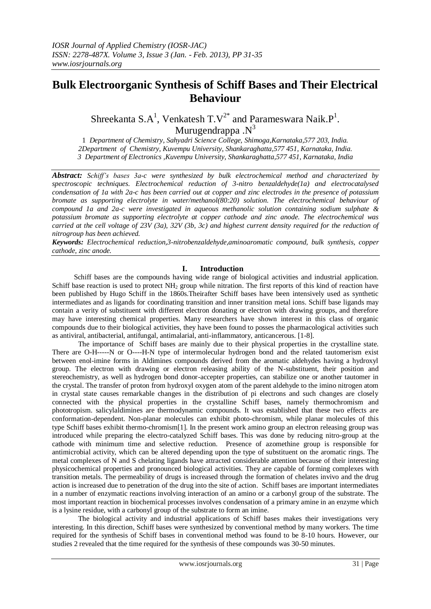## **Bulk Electroorganic Synthesis of Schiff Bases and Their Electrical Behaviour**

Shreekanta S.A<sup>1</sup>, Venkatesh T.V<sup>2\*</sup> and Parameswara Naik.P<sup>1</sup>. Murugendrappa  $N^3$ 

1 *Department of Chemistry, Sahyadri Science College, Shimoga,Karnataka,577 203, India. 2Department of Chemistry, Kuvempu University, Shankaraghatta,577 451, Karnataka, India. 3 Department of Electronics ,Kuvempu University, Shankaraghatta,577 451, Karnataka, India*

*Abstract: Schiff's bases 3a-c were synthesized by bulk electrochemical method and characterized by spectroscopic techniques. Electrochemical reduction of 3-nitro benzaldehyde(1a) and electrocatalysed condensation of 1a with 2a-c has been carried out at copper and zinc electrodes in the presence of potassium bromate as supporting electrolyte in water/methanol(80:20) solution. The electrochemical behaviour of compound 1a and 2a-c were investigated in aqueous methanolic solution containing sodium sulphate & potassium bromate as supporting electrolyte at copper cathode and zinc anode. The electrochemical was carried at the cell voltage of 23V (3a), 32V (3b, 3c) and highest current density required for the reduction of nitrogroup has been achieved.*

*Keywords: Electrochemical reduction,3-nitrobenzaldehyde,aminoaromatic compound, bulk synthesis, copper cathode, zinc anode.*

#### **I. Introduction**

 Schiff bases are the compounds having wide range of biological activities and industrial application. Schiff base reaction is used to protect  $NH<sub>2</sub>$  group while nitration. The first reports of this kind of reaction have been published by Hugo Schiff in the 1860s.Theirafter Schiff bases have been intensively used as synthetic intermediates and as ligands for coordinating transition and inner transition metal ions. Schiff base ligands may contain a verity of substituent with different electron donating or electron with drawing groups, and therefore may have interesting chemical properties. Many researchers have shown interest in this class of organic compounds due to their biological activities, they have been found to posses the pharmacological activities such as antiviral, antibacterial, antifungal, antimalarial, anti-inflammatory, anticancerous. [1-8].

The importance of Schiff bases are mainly due to their physical properties in the crystalline state. There are O-H-----N or O----H-N type of intermolecular hydrogen bond and the related tautomerism exist between enol-imine forms in Aldimines compounds derived from the aromatic aldehydes having a hydroxyl group. The electron with drawing or electron releasing ability of the N-substituent, their position and stereochemistry, as well as hydrogen bond donor-accepter properties, can stabilize one or another tautomer in the crystal. The transfer of proton from hydroxyl oxygen atom of the parent aldehyde to the imino nitrogen atom in crystal state causes remarkable changes in the distribution of pi electrons and such changes are closely connected with the physical properties in the crystalline Schiff bases, namely thermochromism and phototropism. salicylaldimines are thermodynamic compounds. It was established that these two effects are conformation-dependent. Non-planar molecules can exhibit photo-chromism, while planar molecules of this type Schiff bases exhibit thermo-chromism[1]. In the present work amino group an electron releasing group was introduced while preparing the electro-catalyzed Schiff bases. This was done by reducing nitro-group at the cathode with minimum time and selective reduction. Presence of azomethine group is responsible for antimicrobial activity, which can be altered depending upon the type of substituent on the aromatic rings. The metal complexes of N and S chelating ligands have attracted considerable attention because of their interesting physicochemical properties and pronounced biological activities. They are capable of forming complexes with transition metals. The permeability of drugs is increased through the formation of chelates invivo and the drug action is increased due to penetration of the drug into the site of action. Schiff bases are important intermediates in a number of enzymatic reactions involving interaction of an amino or a carbonyl group of the substrate. The most important reaction in biochemical processes involves condensation of a primary amine in an enzyme which is a lysine residue, with a carbonyl group of the substrate to form an imine.

The biological activity and industrial applications of Schiff bases makes their investigations very interesting. In this direction, Schiff bases were synthesized by conventional method by many workers. The time required for the synthesis of Schiff bases in conventional method was found to be 8-10 hours. However, our studies 2 revealed that the time required for the synthesis of these compounds was 30-50 minutes.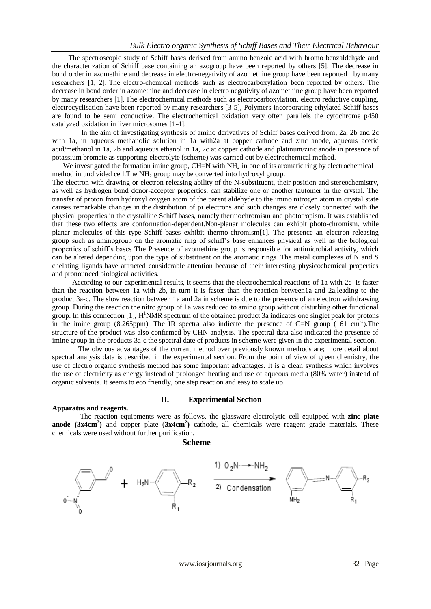The spectroscopic study of Schiff bases derived from amino benzoic acid with bromo benzaldehyde and the characterization of Schiff base containing an azogroup have been reported by others [5]. The decrease in bond order in azomethine and decrease in electro-negativity of azomethine group have been reported by many researchers [1, 2]. The electro-chemical methods such as electrocarboxylation been reported by others. The decrease in bond order in azomethine and decrease in electro negativity of azomethine group have been reported by many researchers [1]. The electrochemical methods such as electrocarboxylation, electro reductive coupling, electrocyclisation have been reported by many researchers [3-5], Polymers incorporating ethylated Schiff bases are found to be semi conductive. The electrochemical oxidation very often parallels the cytochrome p450 catalyzed oxidation in liver microsomes [1-4].

 In the aim of investigating synthesis of amino derivatives of Schiff bases derived from, 2a, 2b and 2c with 1a, in aqueous methanolic solution in 1a with2a at copper cathode and zinc anode, aqueous acetic acid/methanol in 1a, 2b and aqueous ethanol in 1a, 2c at copper cathode and platinum/zinc anode in presence of potassium bromate as supporting electrolyte (scheme) was carried out by electrochemical method.

We investigated the formation imine group,  $CH=N$  with  $NH<sub>2</sub>$  in one of its aromatic ring by electrochemical method in undivided cell. The  $NH_2$  group may be converted into hydroxyl group.

The electron with drawing or electron releasing ability of the N-substituent, their position and stereochemistry, as well as hydrogen bond donor-accepter properties, can stabilize one or another tautomer in the crystal. The transfer of proton from hydroxyl oxygen atom of the parent aldehyde to the imino nitrogen atom in crystal state causes remarkable changes in the distribution of pi electrons and such changes are closely connected with the physical properties in the crystalline Schiff bases, namely thermochromism and phototropism. It was established that these two effects are conformation-dependent.Non-planar molecules can exhibit photo-chromism, while planar molecules of this type Schiff bases exhibit thermo-chromism[1]. The presence an electron releasing group such as aminogroup on the aromatic ring of schiff's base enhances physical as well as the biological properties of schiff's bases The Presence of azomethine group is responsible for antimicrobial activity, which can be altered depending upon the type of substituent on the aromatic rings. The metal complexes of N and S chelating ligands have attracted considerable attention because of their interesting physicochemical properties and pronounced biological activities.

 According to our experimental results, it seems that the electrochemical reactions of 1a with 2c is faster than the reaction between 1a with 2b, in turn it is faster than the reaction between1a and 2a,leading to the product 3a-c. The slow reaction between 1a and 2a in scheme is due to the presence of an electron withdrawing group. During the reaction the nitro group of 1a was reduced to amino group without disturbing other functional group. In this connection [1], H<sup>1</sup>NMR spectrum of the obtained product 3a indicates one singlet peak for protons in the imine group (8.265ppm). The IR spectra also indicate the presence of C=N group (1611cm<sup>-1</sup>). The structure of the product was also confirmed by CHN analysis. The spectral data also indicated the presence of imine group in the products 3a-c the spectral date of products in scheme were given in the experimental section.

The obvious advantages of the current method over previously known methods are; more detail about spectral analysis data is described in the experimental section. From the point of view of green chemistry, the use of electro organic synthesis method has some important advantages. It is a clean synthesis which involves the use of electricity as energy instead of prolonged heating and use of aqueous media (80% water) instead of organic solvents. It seems to eco friendly, one step reaction and easy to scale up.

### **II. Experimental Section**

**Apparatus and reagents.**

The reaction equipments were as follows, the glassware electrolytic cell equipped with **zinc plate anode (3x4cm<sup>2</sup> )** and copper plate (**3x4cm<sup>2</sup> )** cathode, all chemicals were reagent grade materials. These chemicals were used without further purification.

#### **Scheme**

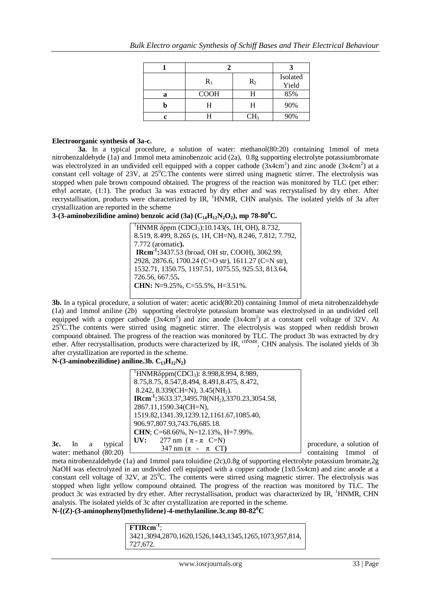|   | $R_1$       | $R_2$ | Isolated<br>Yield |
|---|-------------|-------|-------------------|
| a | <b>COOH</b> |       | 85%               |
|   | Н           | н     | 90%               |
|   |             | $H_3$ | 90%               |

#### **Electroorganic synthesis of 3a-c.**

**3a**. In a typical procedure, a solution of water: methanol(80:20) containing 1mmol of meta nitrobenzaldehyde (1a) and 1mmol meta aminobenzoic acid (2a), 0.8g supporting electrolyte potassiumbromate was electrolyzed in an undivided cell equipped with a copper cathode  $(3x4cm^2)$  and zinc anode  $(3x4cm^2)$  at a constant cell voltage of 23V, at  $25^{\circ}$ C.The contents were stirred using magnetic stirrer. The electrolysis was stopped when pale brown compound obtained. The progress of the reaction was monitored by TLC (pet ether: ethyl acetate, (1:1). The product 3a was extracted by dry ether and was recrystalised by dry ether. After recrystallisation, products were characterized by IR, <sup>1</sup>HNMR, CHN analysis. The isolated yields of 3a after crystallization are reported in the scheme

#### **3-(3-aminobezilidine amino) benzoic acid (3a) (C14H12N2O2), mp 78-80<sup>0</sup>C.**

 $1$ HNMR δppm (CDCl<sub>3</sub>):10.143(s, 1H, OH), 8.732, 8.519, 8.499, 8.265 (s, 1H, CH=N), 8.246, 7.812, 7.792, 7.772 (aromatic**). IRcm-1 :**3437.53 (broad, OH str, COOH), 3062.99, 2928, 2876.6, 1700.24 (C=O str), 1611.27 (C=N str), 1532.71, 1350.75, 1197.51, 1075.55, 925.53, 813.64, 726.56, 667.55**. CHN:** N=9.25%, C=55.5%, H=3.51%.

**3b.** In a typical procedure, a solution of water: acetic acid(80:20) containing 1mmol of meta nitrobenzaldehyde (1a) and 1mmol aniline (2b) supporting electrolyte potassium bromate was electrolysed in an undivided cell equipped with a copper cathode  $(3x4cm^2)$  and zinc anode  $(3x4cm^2)$  at a constant cell voltage of 32V. At 25<sup>0</sup>C.The contents were stirred using magnetic stirrer. The electrolysis was stopped when reddish brown compound obtained. The progress of the reaction was monitored by TLC. The product 3b was extracted by dry ether. After recrystallisation, products were characterized by IR, <sup>IHNMR</sup>, CHN analysis. The isolated yields of 3b after crystallization are reported in the scheme.

#### $N-(3-anninolecular)$  aniline.3b.  $C_{13}H_{12}N_2$

|                                            | <sup>1</sup> HNMRδppm(CDCl <sub>3</sub> ): 8.998,8.994, 8.989,               |                                         |
|--------------------------------------------|------------------------------------------------------------------------------|-----------------------------------------|
|                                            | 8.75, 8.75, 8.547, 8.494, 8.491, 8.475, 8.472,                               |                                         |
|                                            | 8.242, 8.339(CH=N), 3.45(NH <sub>2</sub> ).                                  |                                         |
|                                            | <b>IRcm<sup>-1</sup>:</b> 3633.37,3495.78(NH <sub>2</sub> ),3370.23,3054.58, |                                         |
|                                            | 2867.11,1590.34(CH=N),                                                       |                                         |
|                                            | 1519.82, 1341.39, 1239.12, 1161.67, 1085.40,                                 |                                         |
|                                            | 906.97,807.93,743.76,685.18.                                                 |                                         |
|                                            | <b>CHN</b> ; C=68.66%, N=12.13%, H=7.99%.                                    |                                         |
| 3c.<br>typical<br>-In                      | 277 nm $(\pi - \pi \text{ C=N})$<br>UV:                                      | procedure, a solution of                |
| a<br>$m_{\text{total}}$ mathanal $(00.20)$ | $347 \text{ nm}$ ( $\pi$ - $\pi$ CT)                                         | $contribution \approx 1 \text{mmol of}$ |

water: methanol (80:20)

meta nitrobenzaldehyde (1a) and 1mmol para toluidine (2c),0.8g of supporting electrolyte potassium bromate,2g NaOH was electrolyzed in an undivided cell equipped with a copper cathode (1x0.5x4cm) and zinc anode at a constant cell voltage of  $32V$ , at  $25^{\circ}$ C. The contents were stirred using magnetic stirrer. The electrolysis was stopped when light yellow compound obtained. The progress of the reaction was monitored by TLC. The product 3c was extracted by dry ether. After recrystallisation, product was characterized by IR, <sup>1</sup>HNMR, CHN analysis. The isolated yields of 3c after crystallization are reported in the scheme. **N-{(Z)-(3-aminophenyl)methylidene}-4-methylaniline.3c.mp 80-82<sup>0</sup>C**

| <b>FTIRcm</b> <sup>1</sup> ;                          |
|-------------------------------------------------------|
| 3421,3094,2870,1620,1526,1443,1345,1265,1073,957,814, |
| $\mid$ 727,672.                                       |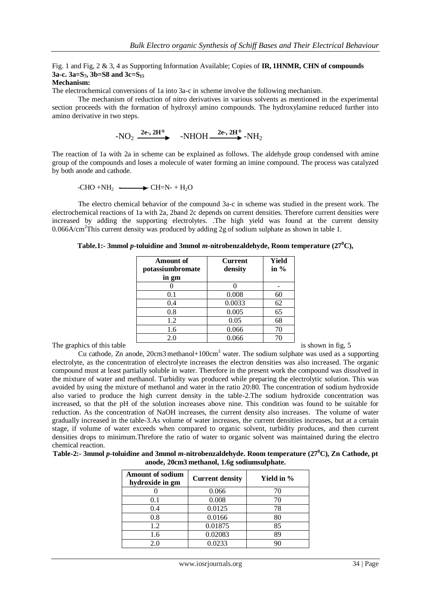#### Fig. 1 and Fig, 2 & 3, 4 as Supporting Information Available; Copies of **IR, 1HNMR, CHN of compounds 3a-c. 3a=S7, 3b=S8 and 3c=S<sup>15</sup>**

#### **Mechanism:**

The electrochemical conversions of 1a into 3a-c in scheme involve the following mechanism.

 The mechanism of reduction of nitro derivatives in various solvents as mentioned in the experimental section proceeds with the formation of hydroxyl amino compounds. The hydroxylamine reduced further into amino derivative in two steps.

$$
-NO_2 \xrightarrow{2e-, 2H^+} \quad -NHOH \xrightarrow{2e-, 2H^+} -NH_2
$$

The reaction of 1a with 2a in scheme can be explained as follows. The aldehyde group condensed with amine group of the compounds and loses a molecule of water forming an imine compound. The process was catalyzed by both anode and cathode.

-CHO +NH<sub>2</sub> 
$$
\longrightarrow
$$
 CH=N $\rightarrow$  H<sub>2</sub>O

The electro chemical behavior of the compound 3a-c in scheme was studied in the present work. The electrochemical reactions of 1a with 2a, 2band 2c depends on current densities. Therefore current densities were increased by adding the supporting electrolytes. .The high yield was found at the current density  $0.066$ A/cm<sup>2</sup>This current density was produced by adding 2g of sodium sulphate as shown in table 1.

|                            | <b>Amount of</b><br>potassiumbromate<br>in gm | <b>Current</b><br>density | <b>Yield</b><br>in $%$ |                    |
|----------------------------|-----------------------------------------------|---------------------------|------------------------|--------------------|
|                            |                                               |                           |                        |                    |
|                            | 0.1                                           | 0.008                     | 60                     |                    |
|                            | 0.4                                           | 0.0033                    | 62                     |                    |
|                            | 0.8                                           | 0.005                     | 65                     |                    |
|                            | 1.2                                           | 0.05                      | 68                     |                    |
|                            | 1.6                                           | 0.066                     | 70                     |                    |
|                            | 2.0                                           | 0.066                     | 70                     |                    |
| The graphics of this table |                                               |                           |                        | is shown in fig. 5 |

**Table.1:- 3mmol** *p***-toluidine and 3mmol** *m***-nitrobenzaldehyde, Room temperature (27<sup>0</sup>C),**

Cu cathode, Zn anode, 20cm3 methanol+100cm<sup>3</sup> water. The sodium sulphate was used as a supporting electrolyte, as the concentration of electrolyte increases the electron densities was also increased. The organic compound must at least partially soluble in water. Therefore in the present work the compound was dissolved in the mixture of water and methanol. Turbidity was produced while preparing the electrolytic solution. This was avoided by using the mixture of methanol and water in the ratio 20:80. The concentration of sodium hydroxide also varied to produce the high current density in the table-2.The sodium hydroxide concentration was increased, so that the pH of the solution increases above nine. This condition was found to be suitable for reduction. As the concentration of NaOH increases, the current density also increases. The volume of water gradually increased in the table-3.As volume of water increases, the current densities increases, but at a certain stage, if volume of water exceeds when compared to organic solvent, turbidity produces, and then current densities drops to minimum.Threfore the ratio of water to organic solvent was maintained during the electro chemical reaction.

| Table-2:- 3mmol p-toluidine and 3mmol m-nitrobenzaldehyde. Room temperature (27 <sup>0</sup> C), Zn Cathode, pt |
|-----------------------------------------------------------------------------------------------------------------|
| anode, 20cm3 methanol, 1.6g sodiumsulphate.                                                                     |

| <b>Amount of sodium</b><br>hydroxide in gm | <b>Current density</b> | Yield in % |
|--------------------------------------------|------------------------|------------|
|                                            | 0.066                  |            |
| 0.1                                        | 0.008                  | 70         |
| 0.4                                        | 0.0125                 | 78         |
| 0.8                                        | 0.0166                 | 80         |
| 1.2                                        | 0.01875                | 85         |
| 1.6                                        | 0.02083                | 89         |
| 20                                         | 0.0233                 |            |